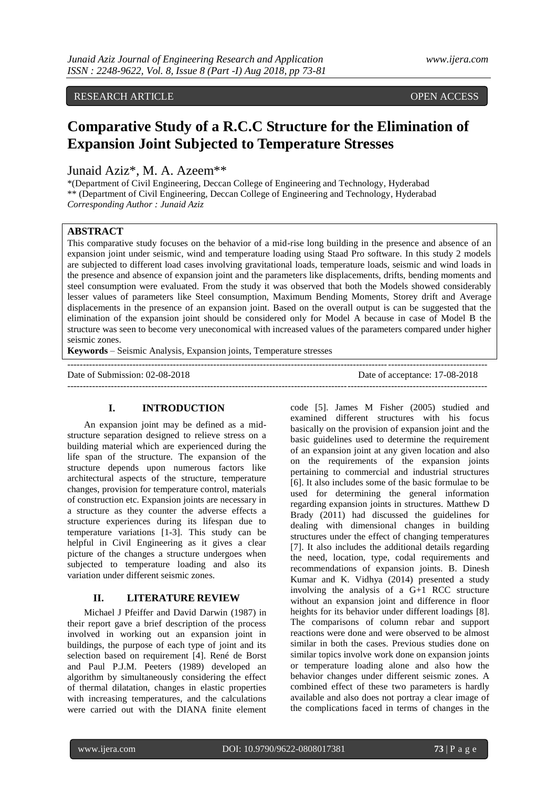# RESEARCH ARTICLE OPEN ACCESS

# **Comparative Study of a R.C.C Structure for the Elimination of Expansion Joint Subjected to Temperature Stresses**

Junaid Aziz\*, M. A. Azeem\*\*

\*(Department of Civil Engineering, Deccan College of Engineering and Technology, Hyderabad \*\* (Department of Civil Engineering, Deccan College of Engineering and Technology, Hyderabad *Corresponding Author : Junaid Aziz*

# **ABSTRACT**

This comparative study focuses on the behavior of a mid-rise long building in the presence and absence of an expansion joint under seismic, wind and temperature loading using Staad Pro software. In this study 2 models are subjected to different load cases involving gravitational loads, temperature loads, seismic and wind loads in the presence and absence of expansion joint and the parameters like displacements, drifts, bending moments and steel consumption were evaluated. From the study it was observed that both the Models showed considerably lesser values of parameters like Steel consumption, Maximum Bending Moments, Storey drift and Average displacements in the presence of an expansion joint. Based on the overall output is can be suggested that the elimination of the expansion joint should be considered only for Model A because in case of Model B the structure was seen to become very uneconomical with increased values of the parameters compared under higher seismic zones.

---------------------------------------------------------------------------------------------------------------------------------------

**Keywords** – Seismic Analysis, Expansion joints, Temperature stresses

Date of Submission: 02-08-2018 Date of acceptance: 17-08-2018

---------------------------------------------------------------------------------------------------------------------------------------

# **I. INTRODUCTION**

An expansion joint may be defined as a midstructure separation designed to relieve stress on a building material which are experienced during the life span of the structure. The expansion of the structure depends upon numerous factors like architectural aspects of the structure, temperature changes, provision for temperature control, materials of construction etc. Expansion joints are necessary in a structure as they counter the adverse effects a structure experiences during its lifespan due to temperature variations [1-3]. This study can be helpful in Civil Engineering as it gives a clear picture of the changes a structure undergoes when subjected to temperature loading and also its variation under different seismic zones.

# **II. LITERATURE REVIEW**

Michael J Pfeiffer and David Darwin (1987) in their report gave a brief description of the process involved in working out an expansion joint in buildings, the purpose of each type of joint and its selection based on requirement [4]. René de Borst and Paul P.J.M. Peeters (1989) developed an algorithm by simultaneously considering the effect of thermal dilatation, changes in elastic properties with increasing temperatures, and the calculations were carried out with the DIANA finite element

code [5]. James M Fisher (2005) studied and examined different structures with his focus basically on the provision of expansion joint and the basic guidelines used to determine the requirement of an expansion joint at any given location and also on the requirements of the expansion joints pertaining to commercial and industrial structures [6]. It also includes some of the basic formulae to be used for determining the general information regarding expansion joints in structures. Matthew D Brady (2011) had discussed the guidelines for dealing with dimensional changes in building structures under the effect of changing temperatures [7]. It also includes the additional details regarding the need, location, type, codal requirements and recommendations of expansion joints. B. Dinesh Kumar and K. Vidhya (2014) presented a study involving the analysis of a G+1 RCC structure without an expansion joint and difference in floor heights for its behavior under different loadings [8]. The comparisons of column rebar and support reactions were done and were observed to be almost similar in both the cases. Previous studies done on similar topics involve work done on expansion joints or temperature loading alone and also how the behavior changes under different seismic zones. A combined effect of these two parameters is hardly available and also does not portray a clear image of the complications faced in terms of changes in the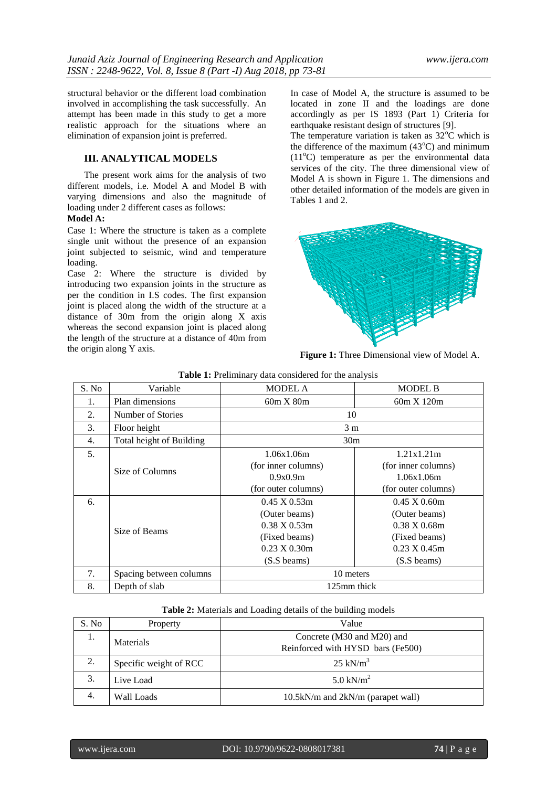structural behavior or the different load combination involved in accomplishing the task successfully. An attempt has been made in this study to get a more realistic approach for the situations where an elimination of expansion joint is preferred.

# **III. ANALYTICAL MODELS**

The present work aims for the analysis of two different models, i.e. Model A and Model B with varying dimensions and also the magnitude of loading under 2 different cases as follows:

#### **Model A:**

Case 1: Where the structure is taken as a complete single unit without the presence of an expansion joint subjected to seismic, wind and temperature loading.

Case 2: Where the structure is divided by introducing two expansion joints in the structure as per the condition in I.S codes. The first expansion joint is placed along the width of the structure at a distance of 30m from the origin along X axis whereas the second expansion joint is placed along the length of the structure at a distance of 40m from the origin along Y axis.

In case of Model A, the structure is assumed to be located in zone II and the loadings are done accordingly as per IS 1893 (Part 1) Criteria for earthquake resistant design of structures [9].

The temperature variation is taken as  $32^{\circ}$ C which is the difference of the maximum  $(43^{\circ}C)$  and minimum  $(11^{\circ}$ C) temperature as per the environmental data services of the city. The three dimensional view of Model A is shown in Figure 1. The dimensions and other detailed information of the models are given in Tables 1 and 2.



**Figure 1:** Three Dimensional view of Model A.

| S. No | Variable                 | <b>MODEL A</b>                 | <b>MODEL B</b>                 |  |  |
|-------|--------------------------|--------------------------------|--------------------------------|--|--|
| 1.    | Plan dimensions          | 60m X 80m                      | 60m X 120m                     |  |  |
| 2.    | Number of Stories        | 10                             |                                |  |  |
| 3.    | Floor height             | 3 <sub>m</sub>                 |                                |  |  |
| 4.    | Total height of Building | 30 <sub>m</sub>                |                                |  |  |
| 5.    |                          | 1.06x1.06m                     | 1.21x1.21m                     |  |  |
|       | Size of Columns          | (for inner columns)            | (for inner columns)            |  |  |
|       |                          | 0.9x0.9m                       | 1.06x1.06m                     |  |  |
|       |                          | (for outer columns)            | (for outer columns)            |  |  |
| 6.    |                          | $0.45 \times 0.53$ m           | $0.45 \times 0.60$ m           |  |  |
|       | Size of Beams            | (Outer beams)                  | (Outer beams)                  |  |  |
|       |                          | $0.38 \text{ X} 0.53 \text{m}$ | $0.38 \text{ X} 0.68 \text{m}$ |  |  |
|       |                          | (Fixed beams)                  | (Fixed beams)                  |  |  |
|       |                          | $0.23 \times 0.30$ m           | $0.23 \text{ X} 0.45 \text{m}$ |  |  |
|       |                          | $(S.Ss$ beams)                 | (S.S beams)                    |  |  |
| 7.    | Spacing between columns  | 10 meters                      |                                |  |  |
| 8.    | Depth of slab            | 125mm thick                    |                                |  |  |

| <b>Table 1:</b> Preliminary data considered for the analysis |  |
|--------------------------------------------------------------|--|
|--------------------------------------------------------------|--|

#### **Table 2:** Materials and Loading details of the building models

| S. No | Property               | Value                             |  |  |
|-------|------------------------|-----------------------------------|--|--|
| 1.    | Materials              | Concrete (M30 and M20) and        |  |  |
|       |                        | Reinforced with HYSD bars (Fe500) |  |  |
| 2.    | Specific weight of RCC | $25 \text{ kN/m}^3$               |  |  |
| 3.    | Live Load              | 5.0 kN/ $m^2$                     |  |  |
| 4.    | Wall Loads             | 10.5kN/m and 2kN/m (parapet wall) |  |  |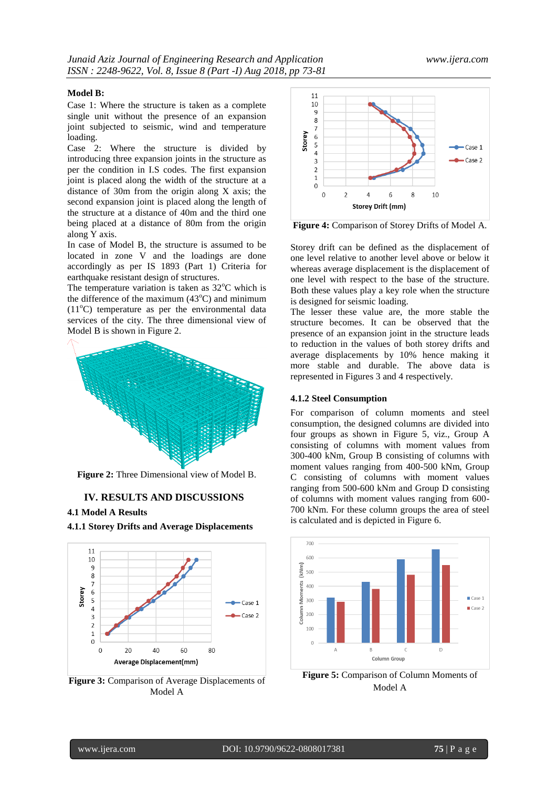#### **Model B:**

Case 1: Where the structure is taken as a complete single unit without the presence of an expansion joint subjected to seismic, wind and temperature loading.

Case 2: Where the structure is divided by introducing three expansion joints in the structure as per the condition in I.S codes. The first expansion joint is placed along the width of the structure at a distance of 30m from the origin along X axis; the second expansion joint is placed along the length of the structure at a distance of 40m and the third one being placed at a distance of 80m from the origin along Y axis.

In case of Model B, the structure is assumed to be located in zone V and the loadings are done accordingly as per IS 1893 (Part 1) Criteria for earthquake resistant design of structures.

The temperature variation is taken as  $32^{\circ}$ C which is the difference of the maximum  $(43^{\circ}C)$  and minimum  $(11^{\circ}$ C) temperature as per the environmental data services of the city. The three dimensional view of Model B is shown in Figure 2.



**Figure 2:** Three Dimensional view of Model B.

#### **IV. RESULTS AND DISCUSSIONS**

#### **4.1 Model A Results**





**Figure 3:** Comparison of Average Displacements of Model A



**Figure 4:** Comparison of Storey Drifts of Model A.

Storey drift can be defined as the displacement of one level relative to another level above or below it whereas average displacement is the displacement of one level with respect to the base of the structure. Both these values play a key role when the structure is designed for seismic loading.

The lesser these value are, the more stable the structure becomes. It can be observed that the presence of an expansion joint in the structure leads to reduction in the values of both storey drifts and average displacements by 10% hence making it more stable and durable. The above data is represented in Figures 3 and 4 respectively.

#### **4.1.2 Steel Consumption**

For comparison of column moments and steel consumption, the designed columns are divided into four groups as shown in Figure 5, viz., Group A consisting of columns with moment values from 300-400 kNm, Group B consisting of columns with moment values ranging from 400-500 kNm, Group C consisting of columns with moment values ranging from 500-600 kNm and Group D consisting of columns with moment values ranging from 600- 700 kNm. For these column groups the area of steel is calculated and is depicted in Figure 6.



**Figure 5:** Comparison of Column Moments of Model A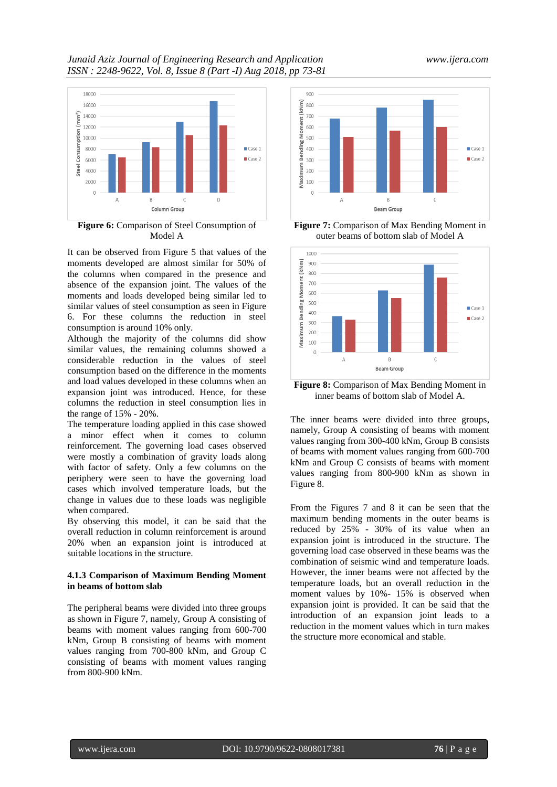

**Figure 6:** Comparison of Steel Consumption of Model A

It can be observed from Figure 5 that values of the moments developed are almost similar for 50% of the columns when compared in the presence and absence of the expansion joint. The values of the moments and loads developed being similar led to similar values of steel consumption as seen in Figure 6. For these columns the reduction in steel consumption is around 10% only.

Although the majority of the columns did show similar values, the remaining columns showed a considerable reduction in the values of steel consumption based on the difference in the moments and load values developed in these columns when an expansion joint was introduced. Hence, for these columns the reduction in steel consumption lies in the range of 15% - 20%.

The temperature loading applied in this case showed a minor effect when it comes to column reinforcement. The governing load cases observed were mostly a combination of gravity loads along with factor of safety. Only a few columns on the periphery were seen to have the governing load cases which involved temperature loads, but the change in values due to these loads was negligible when compared.

By observing this model, it can be said that the overall reduction in column reinforcement is around 20% when an expansion joint is introduced at suitable locations in the structure.

#### **4.1.3 Comparison of Maximum Bending Moment in beams of bottom slab**

The peripheral beams were divided into three groups as shown in Figure 7, namely, Group A consisting of beams with moment values ranging from 600-700 kNm, Group B consisting of beams with moment values ranging from 700-800 kNm, and Group C consisting of beams with moment values ranging from 800-900 kNm.



**Figure 7:** Comparison of Max Bending Moment in outer beams of bottom slab of Model A



**Figure 8:** Comparison of Max Bending Moment in inner beams of bottom slab of Model A.

The inner beams were divided into three groups, namely, Group A consisting of beams with moment values ranging from 300-400 kNm, Group B consists of beams with moment values ranging from 600-700 kNm and Group C consists of beams with moment values ranging from 800-900 kNm as shown in Figure 8.

From the Figures 7 and 8 it can be seen that the maximum bending moments in the outer beams is reduced by 25% - 30% of its value when an expansion joint is introduced in the structure. The governing load case observed in these beams was the combination of seismic wind and temperature loads. However, the inner beams were not affected by the temperature loads, but an overall reduction in the moment values by 10%- 15% is observed when expansion joint is provided. It can be said that the introduction of an expansion joint leads to a reduction in the moment values which in turn makes the structure more economical and stable.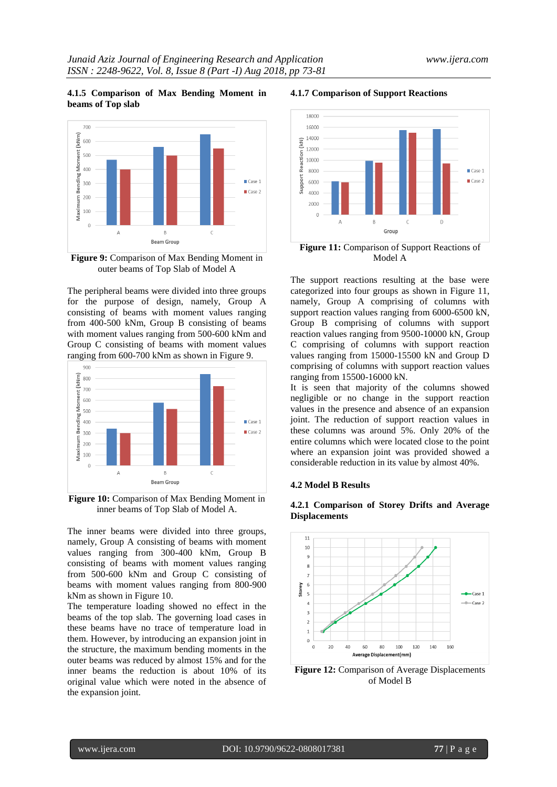#### **4.1.5 Comparison of Max Bending Moment in beams of Top slab**



**Figure 9:** Comparison of Max Bending Moment in outer beams of Top Slab of Model A

The peripheral beams were divided into three groups for the purpose of design, namely, Group A consisting of beams with moment values ranging from 400-500 kNm, Group B consisting of beams with moment values ranging from 500-600 kNm and Group C consisting of beams with moment values ranging from 600-700 kNm as shown in Figure 9.



**Figure 10:** Comparison of Max Bending Moment in inner beams of Top Slab of Model A.

The inner beams were divided into three groups, namely, Group A consisting of beams with moment values ranging from 300-400 kNm, Group B consisting of beams with moment values ranging from 500-600 kNm and Group C consisting of beams with moment values ranging from 800-900 kNm as shown in Figure 10.

The temperature loading showed no effect in the beams of the top slab. The governing load cases in these beams have no trace of temperature load in them. However, by introducing an expansion joint in the structure, the maximum bending moments in the outer beams was reduced by almost 15% and for the inner beams the reduction is about 10% of its original value which were noted in the absence of the expansion joint.

#### **4.1.7 Comparison of Support Reactions**



**Figure 11:** Comparison of Support Reactions of Model A

The support reactions resulting at the base were categorized into four groups as shown in Figure 11, namely, Group A comprising of columns with support reaction values ranging from 6000-6500 kN, Group B comprising of columns with support reaction values ranging from 9500-10000 kN, Group C comprising of columns with support reaction values ranging from 15000-15500 kN and Group D comprising of columns with support reaction values ranging from 15500-16000 kN.

It is seen that majority of the columns showed negligible or no change in the support reaction values in the presence and absence of an expansion joint. The reduction of support reaction values in these columns was around 5%. Only 20% of the entire columns which were located close to the point where an expansion joint was provided showed a considerable reduction in its value by almost 40%.

#### **4.2 Model B Results**





**Figure 12:** Comparison of Average Displacements of Model B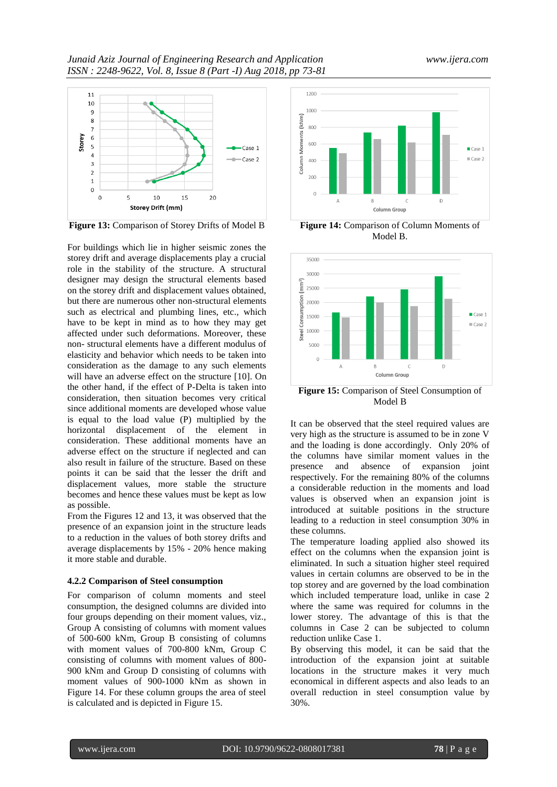

**Figure 13:** Comparison of Storey Drifts of Model B

For buildings which lie in higher seismic zones the storey drift and average displacements play a crucial role in the stability of the structure. A structural designer may design the structural elements based on the storey drift and displacement values obtained, but there are numerous other non-structural elements such as electrical and plumbing lines, etc., which have to be kept in mind as to how they may get affected under such deformations. Moreover, these non- structural elements have a different modulus of elasticity and behavior which needs to be taken into consideration as the damage to any such elements will have an adverse effect on the structure [10]. On the other hand, if the effect of P-Delta is taken into consideration, then situation becomes very critical since additional moments are developed whose value is equal to the load value (P) multiplied by the horizontal displacement of the element in consideration. These additional moments have an adverse effect on the structure if neglected and can also result in failure of the structure. Based on these points it can be said that the lesser the drift and displacement values, more stable the structure becomes and hence these values must be kept as low as possible.

From the Figures 12 and 13, it was observed that the presence of an expansion joint in the structure leads to a reduction in the values of both storey drifts and average displacements by 15% - 20% hence making it more stable and durable.

# **4.2.2 Comparison of Steel consumption**

For comparison of column moments and steel consumption, the designed columns are divided into four groups depending on their moment values, viz., Group A consisting of columns with moment values of 500-600 kNm, Group B consisting of columns with moment values of 700-800 kNm, Group C consisting of columns with moment values of 800- 900 kNm and Group D consisting of columns with moment values of 900-1000 kNm as shown in Figure 14. For these column groups the area of steel is calculated and is depicted in Figure 15.



**Figure 14:** Comparison of Column Moments of Model B.



Model B

It can be observed that the steel required values are very high as the structure is assumed to be in zone V and the loading is done accordingly. Only 20% of the columns have similar moment values in the presence and absence of expansion joint respectively. For the remaining 80% of the columns a considerable reduction in the moments and load values is observed when an expansion joint is introduced at suitable positions in the structure leading to a reduction in steel consumption 30% in these columns.

The temperature loading applied also showed its effect on the columns when the expansion joint is eliminated. In such a situation higher steel required values in certain columns are observed to be in the top storey and are governed by the load combination which included temperature load, unlike in case 2 where the same was required for columns in the lower storey. The advantage of this is that the columns in Case 2 can be subjected to column reduction unlike Case 1.

By observing this model, it can be said that the introduction of the expansion joint at suitable locations in the structure makes it very much economical in different aspects and also leads to an overall reduction in steel consumption value by 30%.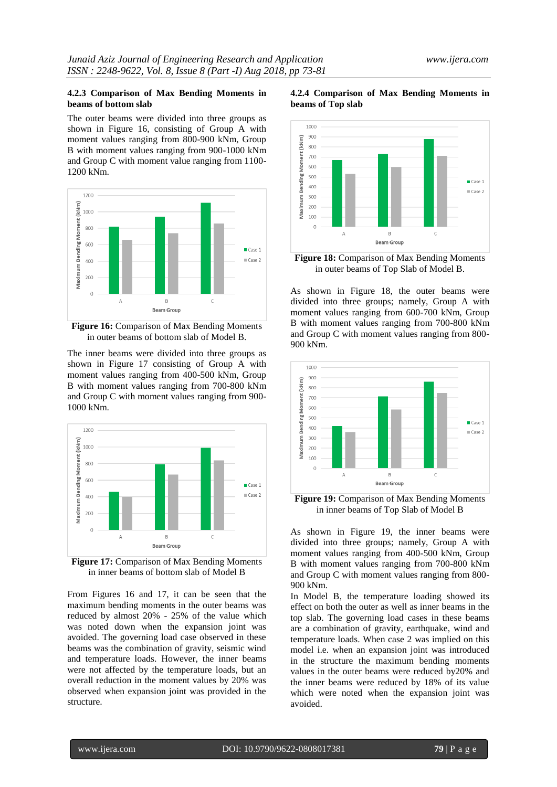#### **4.2.3 Comparison of Max Bending Moments in beams of bottom slab**

The outer beams were divided into three groups as shown in Figure 16, consisting of Group A with moment values ranging from 800-900 kNm, Group B with moment values ranging from 900-1000 kNm and Group C with moment value ranging from 1100- 1200 kNm.



**Figure 16:** Comparison of Max Bending Moments in outer beams of bottom slab of Model B.

The inner beams were divided into three groups as shown in Figure 17 consisting of Group A with moment values ranging from 400-500 kNm, Group B with moment values ranging from 700-800 kNm and Group C with moment values ranging from 900- 1000 kNm.



**Figure 17:** Comparison of Max Bending Moments in inner beams of bottom slab of Model B

From Figures 16 and 17, it can be seen that the maximum bending moments in the outer beams was reduced by almost 20% - 25% of the value which was noted down when the expansion joint was avoided. The governing load case observed in these beams was the combination of gravity, seismic wind and temperature loads. However, the inner beams were not affected by the temperature loads, but an overall reduction in the moment values by 20% was observed when expansion joint was provided in the structure.





**Figure 18:** Comparison of Max Bending Moments in outer beams of Top Slab of Model B.

As shown in Figure 18, the outer beams were divided into three groups; namely, Group A with moment values ranging from 600-700 kNm, Group B with moment values ranging from 700-800 kNm and Group C with moment values ranging from 800- 900 kNm.



**Figure 19:** Comparison of Max Bending Moments in inner beams of Top Slab of Model B

As shown in Figure 19, the inner beams were divided into three groups; namely, Group A with moment values ranging from 400-500 kNm, Group B with moment values ranging from 700-800 kNm and Group C with moment values ranging from 800- 900 kNm.

In Model B, the temperature loading showed its effect on both the outer as well as inner beams in the top slab. The governing load cases in these beams are a combination of gravity, earthquake, wind and temperature loads. When case 2 was implied on this model i.e. when an expansion joint was introduced in the structure the maximum bending moments values in the outer beams were reduced by20% and the inner beams were reduced by 18% of its value which were noted when the expansion joint was avoided.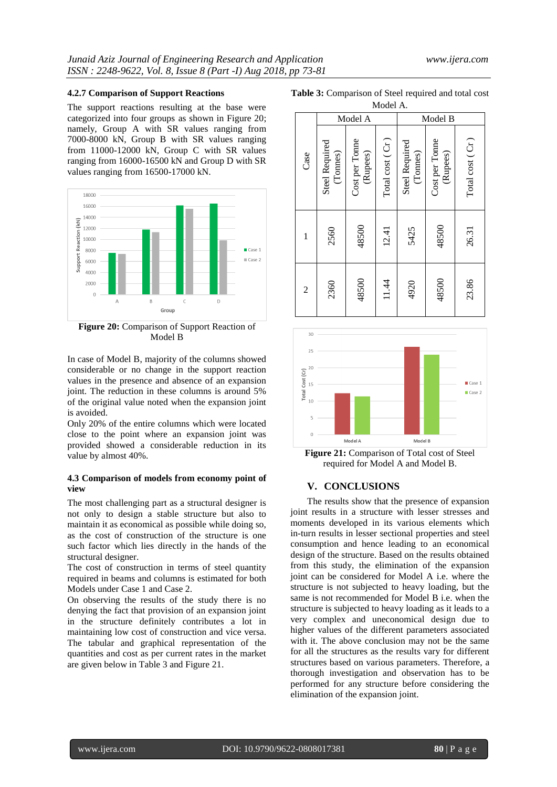#### **4.2.7 Comparison of Support Reactions**

The support reactions resulting at the base were categorized into four groups as shown in Figure 20; namely, Group A with SR values ranging from 7000-8000 kN, Group B with SR values ranging from 11000-12000 kN, Group C with SR values ranging from 16000-16500 kN and Group D with SR values ranging from 16500-17000 kN.



**Figure 20:** Comparison of Support Reaction of Model B

In case of Model B, majority of the columns showed considerable or no change in the support reaction values in the presence and absence of an expansion joint. The reduction in these columns is around 5% of the original value noted when the expansion joint is avoided.

Only 20% of the entire columns which were located close to the point where an expansion joint was provided showed a considerable reduction in its value by almost 40%.

#### **4.3 Comparison of models from economy point of view**

The most challenging part as a structural designer is not only to design a stable structure but also to maintain it as economical as possible while doing so, as the cost of construction of the structure is one such factor which lies directly in the hands of the structural designer.

The cost of construction in terms of steel quantity required in beams and columns is estimated for both Models under Case 1 and Case 2.

On observing the results of the study there is no denying the fact that provision of an expansion joint in the structure definitely contributes a lot in maintaining low cost of construction and vice versa. The tabular and graphical representation of the quantities and cost as per current rates in the market are given below in Table 3 and Figure 21.

**Table 3:** Comparison of Steel required and total cost

| Model A.       |                                   |                            |                 |                                   |                            |                 |  |  |  |
|----------------|-----------------------------------|----------------------------|-----------------|-----------------------------------|----------------------------|-----------------|--|--|--|
|                | Model A                           |                            | Model B         |                                   |                            |                 |  |  |  |
| Case           | <b>Steel Required</b><br>(Tonnes) | Cost per Tonne<br>(Rupees) | Total cost (Cr) | <b>Steel Required</b><br>(Tonnes) | Cost per Tonne<br>(Rupees) | Total cost (Cr) |  |  |  |
| 1              | 2560                              | 48500                      | 12.41           | 5425                              | 48500                      | 26.31           |  |  |  |
| $\overline{c}$ | 2360                              | 48500                      | 11.44           | 4920                              | 48500                      | 23.86           |  |  |  |



**Figure 21:** Comparison of Total cost of Steel required for Model A and Model B.

# **V. CONCLUSIONS**

The results show that the presence of expansion joint results in a structure with lesser stresses and moments developed in its various elements which in-turn results in lesser sectional properties and steel consumption and hence leading to an economical design of the structure. Based on the results obtained from this study, the elimination of the expansion joint can be considered for Model A i.e. where the structure is not subjected to heavy loading, but the same is not recommended for Model B i.e. when the structure is subjected to heavy loading as it leads to a very complex and uneconomical design due to higher values of the different parameters associated with it. The above conclusion may not be the same for all the structures as the results vary for different structures based on various parameters. Therefore, a thorough investigation and observation has to be performed for any structure before considering the elimination of the expansion joint.